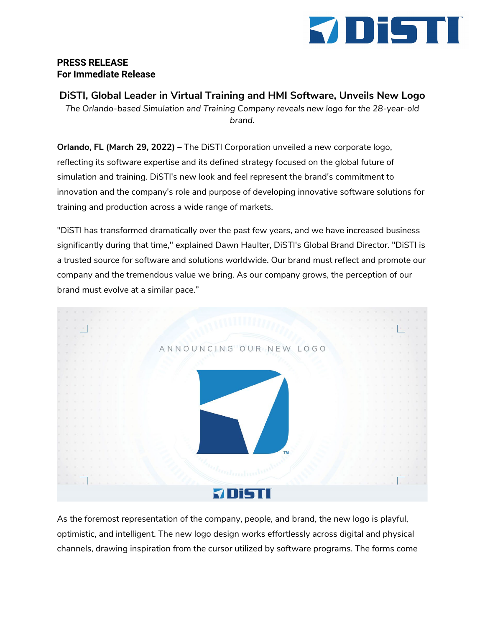

## **PRESS RELEASE For Immediate Release**

**DiSTI, Global Leader in Virtual Training and HMI Software, Unveils New Logo**

*The Orlando-based Simulation and Training Company reveals new logo for the 28-year-old brand.*

**Orlando, FL (March 29, 2022) –** The DiSTI Corporation unveiled a new corporate logo, reflecting its software expertise and its defined strategy focused on the global future of simulation and training. DiSTI's new look and feel represent the brand's commitment to innovation and the company's role and purpose of developing innovative software solutions for training and production across a wide range of markets.

"DiSTI has transformed dramatically over the past few years, and we have increased business significantly during that time," explained Dawn Haulter, DiSTI's Global Brand Director. "DiSTI is a trusted source for software and solutions worldwide. Our brand must reflect and promote our company and the tremendous value we bring. As our company grows, the perception of our brand must evolve at a similar pace."



As the foremost representation of the company, people, and brand, the new logo is playful, optimistic, and intelligent. The new logo design works effortlessly across digital and physical channels, drawing inspiration from the cursor utilized by software programs. The forms come